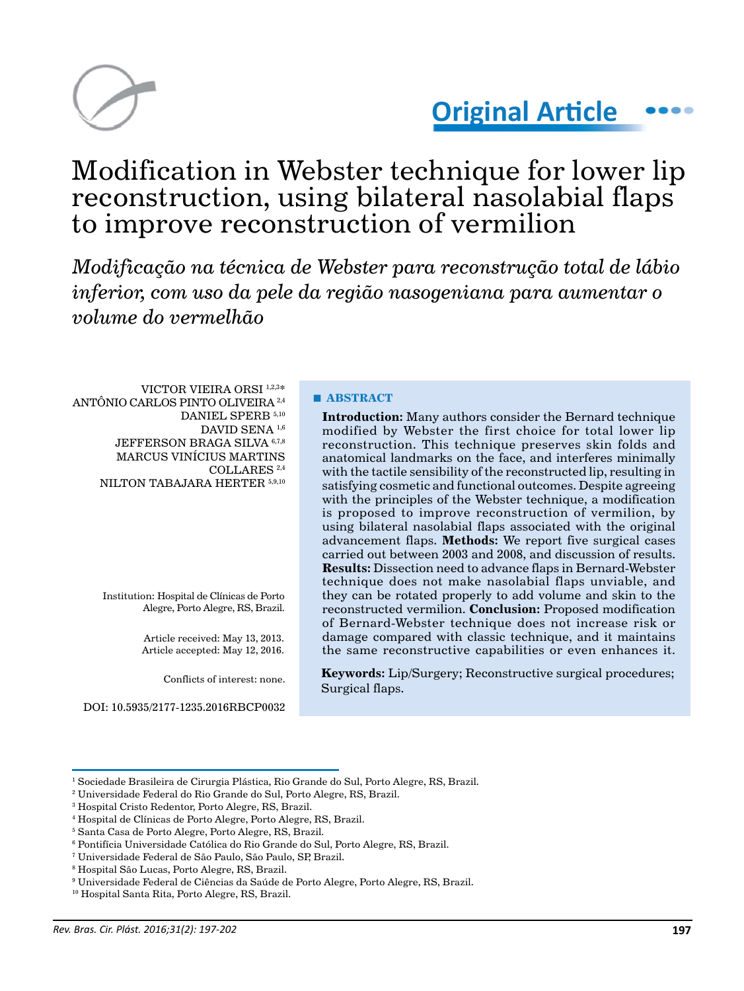

# **Original Article**

# Modification in Webster technique for lower lip reconstruction, using bilateral nasolabial flaps to improve reconstruction of vermilion

*Modificação na técnica de Webster para reconstrução total de lábio inferior, com uso da pele da região nasogeniana para aumentar o volume do vermelhão*

VICTOR VIEIRA ORSI 1,2,3\* ANTÔNIO CARLOS PINTO OLIVEIRA 2,4 DANIEL SPERB<sup>5,10</sup> DAVID SENA<sup>1,6</sup> JEFFERSON BRAGA SILVA<sup>6,7,8</sup> MARCUS VINÍCIUS MARTINS COLLARES 2,4 NILTON TABAJARA HERTER 5,9,10

> Institution: Hospital de Clínicas de Porto Alegre, Porto Alegre, RS, Brazil.

> > Article received: May 13, 2013. Article accepted: May 12, 2016.

> > > Conflicts of interest: none.

#### **■ ABSTRACT**

**Introduction:** Many authors consider the Bernard technique modified by Webster the first choice for total lower lip reconstruction. This technique preserves skin folds and anatomical landmarks on the face, and interferes minimally with the tactile sensibility of the reconstructed lip, resulting in satisfying cosmetic and functional outcomes. Despite agreeing with the principles of the Webster technique, a modification is proposed to improve reconstruction of vermilion, by using bilateral nasolabial flaps associated with the original advancement flaps. **Methods:** We report five surgical cases carried out between 2003 and 2008, and discussion of results. **Results:** Dissection need to advance flaps in Bernard-Webster technique does not make nasolabial flaps unviable, and they can be rotated properly to add volume and skin to the reconstructed vermilion. **Conclusion:** Proposed modification of Bernard-Webster technique does not increase risk or damage compared with classic technique, and it maintains the same reconstructive capabilities or even enhances it.

**Keywords:** Lip/Surgery; Reconstructive surgical procedures; Surgical flaps.

DOI: 10.5935/2177-1235.2016RBCP0032

<sup>&</sup>lt;sup>1</sup> Sociedade Brasileira de Cirurgia Plástica, Rio Grande do Sul, Porto Alegre, RS, Brazil.

<sup>2</sup> Universidade Federal do Rio Grande do Sul, Porto Alegre, RS, Brazil.

<sup>3</sup> Hospital Cristo Redentor, Porto Alegre, RS, Brazil.

<sup>4</sup> Hospital de Clínicas de Porto Alegre, Porto Alegre, RS, Brazil.

<sup>5</sup> Santa Casa de Porto Alegre, Porto Alegre, RS, Brazil.

 $^{\rm 6}$  Pontifícia Universidade Católica do Rio Grande do Sul, Porto Alegre, RS, Brazil.

<sup>7</sup> Universidade Federal de São Paulo, São Paulo, SP, Brazil.

<sup>8</sup> Hospital São Lucas, Porto Alegre, RS, Brazil.

 $^9$  Universidade Federal de Ciências da Saúde de Porto Alegre, Porto Alegre, RS, Brazil.

<sup>10</sup> Hospital Santa Rita, Porto Alegre, RS, Brazil.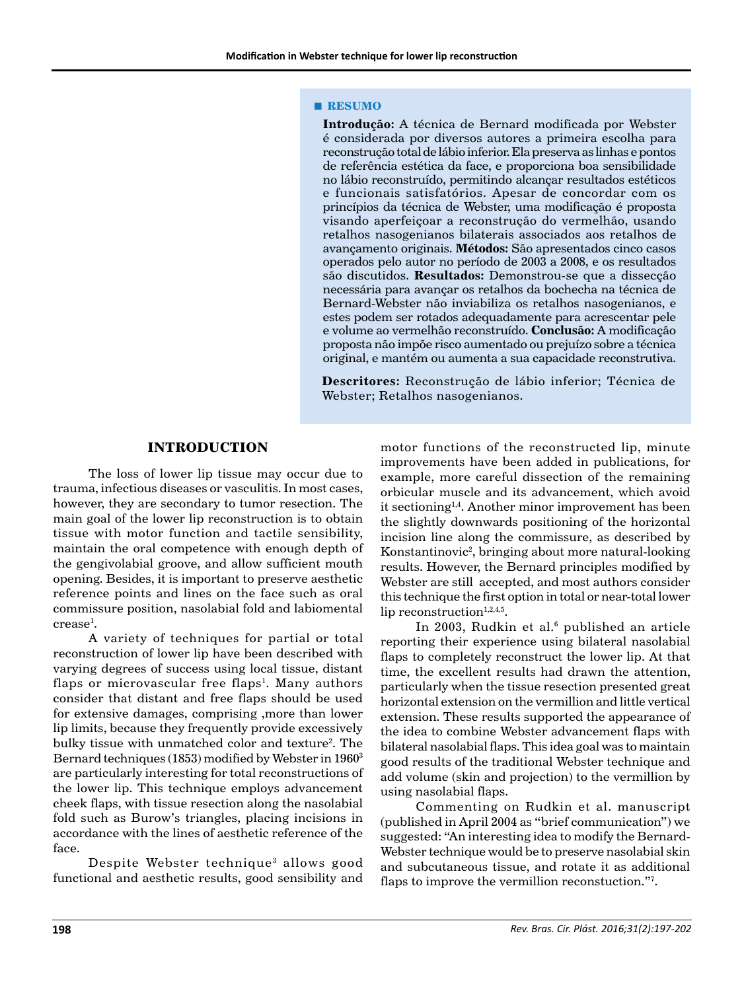#### **■ RESUMO**

**Introdução:** A técnica de Bernard modificada por Webster é considerada por diversos autores a primeira escolha para reconstrução total de lábio inferior. Ela preserva as linhas e pontos de referência estética da face, e proporciona boa sensibilidade no lábio reconstruído, permitindo alcançar resultados estéticos e funcionais satisfatórios. Apesar de concordar com os princípios da técnica de Webster, uma modificação é proposta visando aperfeiçoar a reconstrução do vermelhão, usando retalhos nasogenianos bilaterais associados aos retalhos de avançamento originais. **Métodos:** São apresentados cinco casos operados pelo autor no período de 2003 a 2008, e os resultados são discutidos. **Resultados:** Demonstrou-se que a dissecção necessária para avançar os retalhos da bochecha na técnica de Bernard-Webster não inviabiliza os retalhos nasogenianos, e estes podem ser rotados adequadamente para acrescentar pele e volume ao vermelhão reconstruído. **Conclusão:** A modificação proposta não impõe risco aumentado ou prejuízo sobre a técnica original, e mantém ou aumenta a sua capacidade reconstrutiva.

**Descritores:** Reconstrução de lábio inferior; Técnica de Webster; Retalhos nasogenianos.

# **INTRODUCTION**

The loss of lower lip tissue may occur due to trauma, infectious diseases or vasculitis. In most cases, however, they are secondary to tumor resection. The main goal of the lower lip reconstruction is to obtain tissue with motor function and tactile sensibility, maintain the oral competence with enough depth of the gengivolabial groove, and allow sufficient mouth opening. Besides, it is important to preserve aesthetic reference points and lines on the face such as oral commissure position, nasolabial fold and labiomental  $\mathrm{crease^{1}}.$ 

A variety of techniques for partial or total reconstruction of lower lip have been described with varying degrees of success using local tissue, distant flaps or microvascular free flaps<sup>1</sup>. Many authors consider that distant and free flaps should be used for extensive damages, comprising ,more than lower lip limits, because they frequently provide excessively bulky tissue with unmatched color and texture<sup>2</sup>. The Bernard techniques (1853) modified by Webster in 19603 are particularly interesting for total reconstructions of the lower lip. This technique employs advancement cheek flaps, with tissue resection along the nasolabial fold such as Burow's triangles, placing incisions in accordance with the lines of aesthetic reference of the face.

Despite Webster technique<sup>3</sup> allows good functional and aesthetic results, good sensibility and motor functions of the reconstructed lip, minute improvements have been added in publications, for example, more careful dissection of the remaining orbicular muscle and its advancement, which avoid it sectioning1,4. Another minor improvement has been the slightly downwards positioning of the horizontal incision line along the commissure, as described by Konstantinovic<sup>2</sup>, bringing about more natural-looking results. However, the Bernard principles modified by Webster are still accepted, and most authors consider this technique the first option in total or near-total lower lip reconstruction $1,2,4,5$ .

In 2003, Rudkin et al.<sup>6</sup> published an article reporting their experience using bilateral nasolabial flaps to completely reconstruct the lower lip. At that time, the excellent results had drawn the attention, particularly when the tissue resection presented great horizontal extension on the vermillion and little vertical extension. These results supported the appearance of the idea to combine Webster advancement flaps with bilateral nasolabial flaps. This idea goal was to maintain good results of the traditional Webster technique and add volume (skin and projection) to the vermillion by using nasolabial flaps.

Commenting on Rudkin et al. manuscript (published in April 2004 as "brief communication") we suggested: "An interesting idea to modify the Bernard-Webster technique would be to preserve nasolabial skin and subcutaneous tissue, and rotate it as additional flaps to improve the vermillion reconstuction."<sup>7</sup>.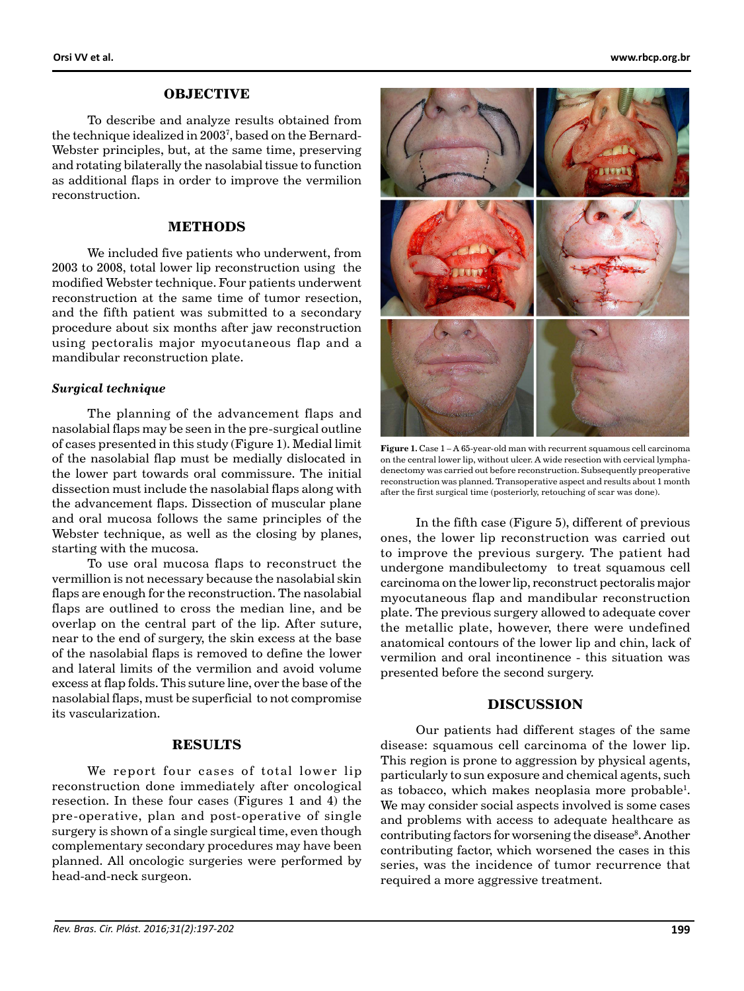#### **OBJECTIVE**

To describe and analyze results obtained from the technique idealized in 20037 , based on the Bernard-Webster principles, but, at the same time, preserving and rotating bilaterally the nasolabial tissue to function as additional flaps in order to improve the vermilion reconstruction.

### **METHODS**

We included five patients who underwent, from 2003 to 2008, total lower lip reconstruction using the modified Webster technique. Four patients underwent reconstruction at the same time of tumor resection, and the fifth patient was submitted to a secondary procedure about six months after jaw reconstruction using pectoralis major myocutaneous flap and a mandibular reconstruction plate.

#### *Surgical technique*

The planning of the advancement flaps and nasolabial flaps may be seen in the pre-surgical outline of cases presented in this study (Figure 1). Medial limit of the nasolabial flap must be medially dislocated in the lower part towards oral commissure. The initial dissection must include the nasolabial flaps along with the advancement flaps. Dissection of muscular plane and oral mucosa follows the same principles of the Webster technique, as well as the closing by planes, starting with the mucosa.

To use oral mucosa flaps to reconstruct the vermillion is not necessary because the nasolabial skin flaps are enough for the reconstruction. The nasolabial flaps are outlined to cross the median line, and be overlap on the central part of the lip. After suture, near to the end of surgery, the skin excess at the base of the nasolabial flaps is removed to define the lower and lateral limits of the vermilion and avoid volume excess at flap folds. This suture line, over the base of the nasolabial flaps, must be superficial to not compromise its vascularization.

# **RESULTS**

We report four cases of total lower lip reconstruction done immediately after oncological resection. In these four cases (Figures 1 and 4) the pre-operative, plan and post-operative of single surgery is shown of a single surgical time, even though complementary secondary procedures may have been planned. All oncologic surgeries were performed by head-and-neck surgeon.



**Figure 1.** Case 1 – A 65-year-old man with recurrent squamous cell carcinoma on the central lower lip, without ulcer. A wide resection with cervical lymphadenectomy was carried out before reconstruction. Subsequently preoperative reconstruction was planned. Transoperative aspect and results about 1 month after the first surgical time (posteriorly, retouching of scar was done).

In the fifth case (Figure 5), different of previous ones, the lower lip reconstruction was carried out to improve the previous surgery. The patient had undergone mandibulectomy to treat squamous cell carcinoma on the lower lip, reconstruct pectoralis major myocutaneous flap and mandibular reconstruction plate. The previous surgery allowed to adequate cover the metallic plate, however, there were undefined anatomical contours of the lower lip and chin, lack of vermilion and oral incontinence - this situation was presented before the second surgery.

# **DISCUSSION**

Our patients had different stages of the same disease: squamous cell carcinoma of the lower lip. This region is prone to aggression by physical agents, particularly to sun exposure and chemical agents, such as tobacco, which makes neoplasia more probable<sup>1</sup>. We may consider social aspects involved is some cases and problems with access to adequate healthcare as contributing factors for worsening the disease<sup>8</sup>. Another contributing factor, which worsened the cases in this series, was the incidence of tumor recurrence that required a more aggressive treatment.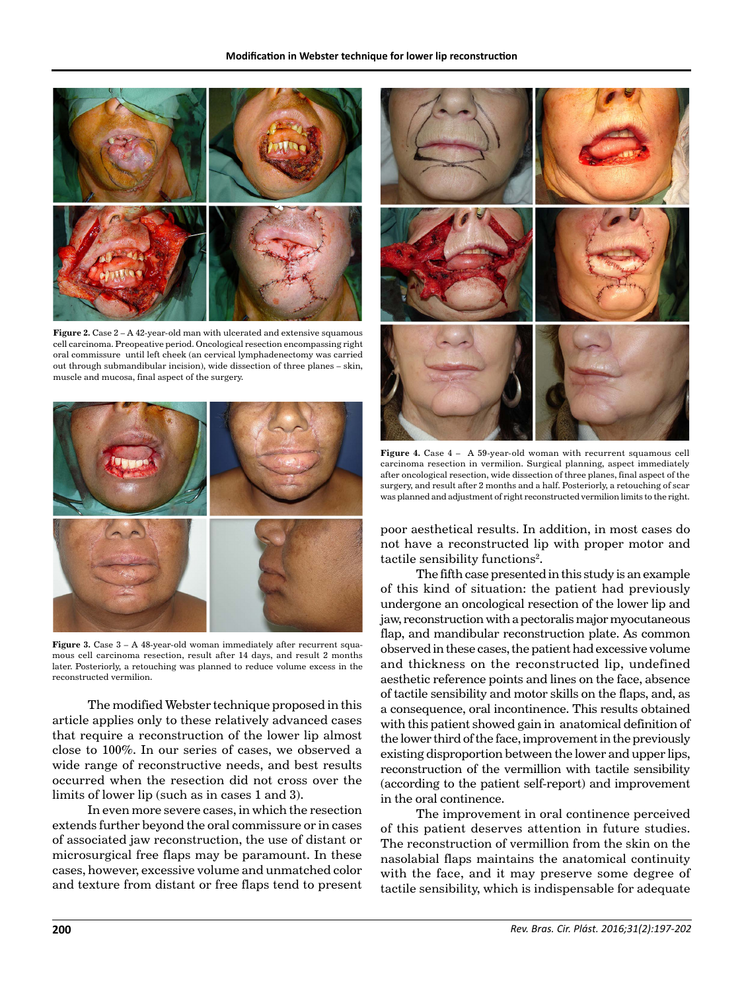

**Figure 2.** Case 2 – A 42-year-old man with ulcerated and extensive squamous cell carcinoma. Preopeative period. Oncological resection encompassing right oral commissure until left cheek (an cervical lymphadenectomy was carried out through submandibular incision), wide dissection of three planes – skin, muscle and mucosa, final aspect of the surgery.



**Figure 3.** Case  $3 - A$  48-year-old woman immediately after recurrent squamous cell carcinoma resection, result after 14 days, and result 2 months later. Posteriorly, a retouching was planned to reduce volume excess in the reconstructed vermilion.

The modified Webster technique proposed in this article applies only to these relatively advanced cases that require a reconstruction of the lower lip almost close to 100%. In our series of cases, we observed a wide range of reconstructive needs, and best results occurred when the resection did not cross over the limits of lower lip (such as in cases 1 and 3).

In even more severe cases, in which the resection extends further beyond the oral commissure or in cases of associated jaw reconstruction, the use of distant or microsurgical free flaps may be paramount. In these cases, however, excessive volume and unmatched color and texture from distant or free flaps tend to present



**Figure 4.** Case 4 – A 59-year-old woman with recurrent squamous cell carcinoma resection in vermilion. Surgical planning, aspect immediately after oncological resection, wide dissection of three planes, final aspect of the surgery, and result after 2 months and a half. Posteriorly, a retouching of scar was planned and adjustment of right reconstructed vermilion limits to the right.

poor aesthetical results. In addition, in most cases do not have a reconstructed lip with proper motor and tactile sensibility functions<sup>2</sup>.

The fifth case presented in this study is an example of this kind of situation: the patient had previously undergone an oncological resection of the lower lip and jaw, reconstruction with a pectoralis major myocutaneous flap, and mandibular reconstruction plate. As common observed in these cases, the patient had excessive volume and thickness on the reconstructed lip, undefined aesthetic reference points and lines on the face, absence of tactile sensibility and motor skills on the flaps, and, as a consequence, oral incontinence. This results obtained with this patient showed gain in anatomical definition of the lower third of the face, improvement in the previously existing disproportion between the lower and upper lips, reconstruction of the vermillion with tactile sensibility (according to the patient self-report) and improvement in the oral continence.

The improvement in oral continence perceived of this patient deserves attention in future studies. The reconstruction of vermillion from the skin on the nasolabial flaps maintains the anatomical continuity with the face, and it may preserve some degree of tactile sensibility, which is indispensable for adequate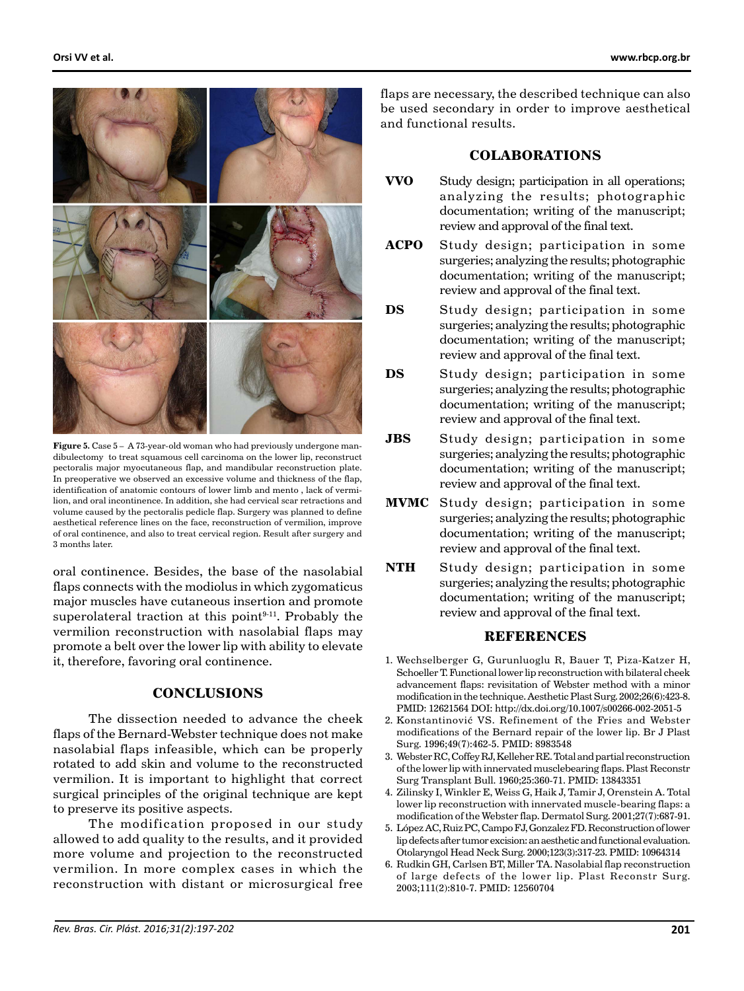

**Figure 5.** Case 5 – A 73-year-old woman who had previously undergone mandibulectomy to treat squamous cell carcinoma on the lower lip, reconstruct pectoralis major myocutaneous flap, and mandibular reconstruction plate. In preoperative we observed an excessive volume and thickness of the flap, identification of anatomic contours of lower limb and mento , lack of vermilion, and oral incontinence. In addition, she had cervical scar retractions and volume caused by the pectoralis pedicle flap. Surgery was planned to define aesthetical reference lines on the face, reconstruction of vermilion, improve of oral continence, and also to treat cervical region. Result after surgery and 3 months later.

oral continence. Besides, the base of the nasolabial flaps connects with the modiolus in which zygomaticus major muscles have cutaneous insertion and promote superolateral traction at this point $9-11$ . Probably the vermilion reconstruction with nasolabial flaps may promote a belt over the lower lip with ability to elevate it, therefore, favoring oral continence.

#### **CONCLUSIONS**

The dissection needed to advance the cheek flaps of the Bernard-Webster technique does not make nasolabial flaps infeasible, which can be properly rotated to add skin and volume to the reconstructed vermilion. It is important to highlight that correct surgical principles of the original technique are kept to preserve its positive aspects.

The modification proposed in our study allowed to add quality to the results, and it provided more volume and projection to the reconstructed vermilion. In more complex cases in which the reconstruction with distant or microsurgical free

flaps are necessary, the described technique can also be used secondary in order to improve aesthetical and functional results.

# **COLABORATIONS**

- **VVO** Study design; participation in all operations; analyzing the results; photographic documentation; writing of the manuscript; review and approval of the final text.
- **ACPO** Study design; participation in some surgeries; analyzing the results; photographic documentation; writing of the manuscript; review and approval of the final text.
- **DS** Study design; participation in some surgeries; analyzing the results; photographic documentation; writing of the manuscript; review and approval of the final text.
- **DS** Study design; participation in some surgeries; analyzing the results; photographic documentation; writing of the manuscript; review and approval of the final text.
- **JBS** Study design; participation in some surgeries; analyzing the results; photographic documentation; writing of the manuscript; review and approval of the final text.
- **MVMC** Study design; participation in some surgeries; analyzing the results; photographic documentation; writing of the manuscript; review and approval of the final text.
- **NTH** Study design; participation in some surgeries; analyzing the results; photographic documentation; writing of the manuscript; review and approval of the final text.

# **REFERENCES**

- 1. Wechselberger G, Gurunluoglu R, Bauer T, Piza-Katzer H, Schoeller T. Functional lower lip reconstruction with bilateral cheek advancement flaps: revisitation of Webster method with a minor modification in the technique. Aesthetic Plast Surg. 2002;26(6):423-8. PMID: 12621564 DOI: http://dx.doi.org/10.1007/s00266-002-2051-5
- 2. Konstantinović VS. Refinement of the Fries and Webster modifications of the Bernard repair of the lower lip. Br J Plast Surg. 1996;49(7):462-5. PMID: 8983548
- 3. Webster RC, Coffey RJ, Kelleher RE. Total and partial reconstruction of the lower lip with innervated musclebearing flaps. Plast Reconstr Surg Transplant Bull. 1960;25:360-71. PMID: 13843351
- 4. Zilinsky I, Winkler E, Weiss G, Haik J, Tamir J, Orenstein A. Total lower lip reconstruction with innervated muscle-bearing flaps: a modification of the Webster flap. Dermatol Surg. 2001;27(7):687-91.
- 5. López AC, Ruiz PC, Campo FJ, Gonzalez FD. Reconstruction of lower lip defects after tumor excision: an aesthetic and functional evaluation. Otolaryngol Head Neck Surg. 2000;123(3):317-23. PMID: 10964314
- 6. Rudkin GH, Carlsen BT, Miller TA. Nasolabial flap reconstruction of large defects of the lower lip. Plast Reconstr Surg. 2003;111(2):810-7. PMID: 12560704